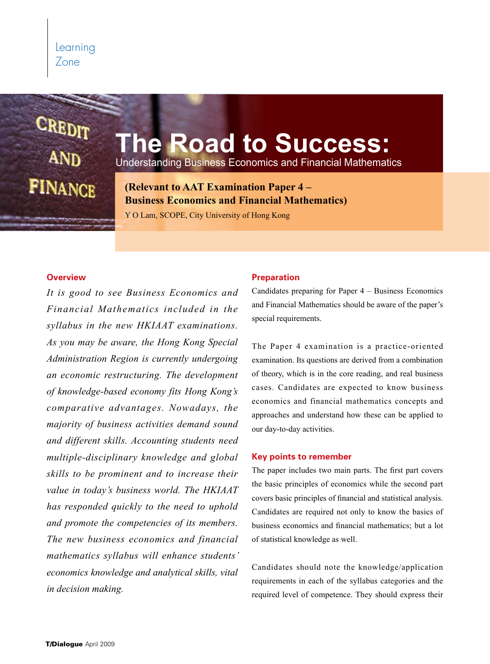# CREDIT **FINANCE**

# **The Road to Success:**

Understanding Business Economics and Financial Mathematics

**(Relevant to AAT Examination Paper 4 – Business Economics and Financial Mathematics)**

Y O Lam, SCOPE, City University of Hong Kong

#### **Overview**

*It is good to see Business Economics and Financial Mathematics included in the syllabus in the new HKIAAT examinations. As you may be aware, the Hong Kong Special Administration Region is currently undergoing an economic restructuring. The development of knowledge-based economy fits Hong Kong's comparative advantages. Nowadays, the majority of business activities demand sound and different skills. Accounting students need multiple-disciplinary knowledge and global skills to be prominent and to increase their value in today's business world. The HKIAAT has responded quickly to the need to uphold and promote the competencies of its members. The new business economics and financial mathematics syllabus will enhance students' economics knowledge and analytical skills, vital in decision making.* 

#### **Preparation**

Candidates preparing for Paper 4 – Business Economics and Financial Mathematics should be aware of the paper's special requirements.

The Paper 4 examination is a practice-oriented examination. Its questions are derived from a combination of theory, which is in the core reading, and real business cases. Candidates are expected to know business economics and financial mathematics concepts and approaches and understand how these can be applied to our day-to-day activities.

#### **Key points to remember**

The paper includes two main parts. The first part covers the basic principles of economics while the second part covers basic principles of financial and statistical analysis. Candidates are required not only to know the basics of business economics and financial mathematics; but a lot of statistical knowledge as well.

Candidates should note the knowledge/application requirements in each of the syllabus categories and the required level of competence. They should express their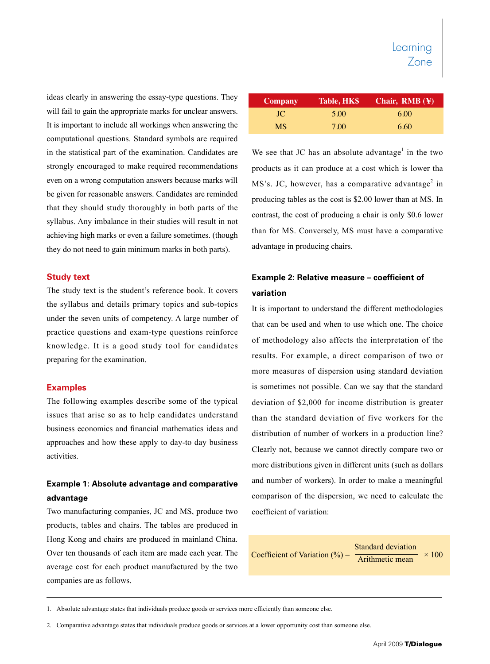ideas clearly in answering the essay-type questions. They will fail to gain the appropriate marks for unclear answers. It is important to include all workings when answering the computational questions. Standard symbols are required in the statistical part of the examination. Candidates are strongly encouraged to make required recommendations even on a wrong computation answers because marks will be given for reasonable answers. Candidates are reminded that they should study thoroughly in both parts of the syllabus. Any imbalance in their studies will result in not achieving high marks or even a failure sometimes. (though they do not need to gain minimum marks in both parts).

#### **Study text**

The study text is the student's reference book. It covers the syllabus and details primary topics and sub-topics under the seven units of competency. A large number of practice questions and exam-type questions reinforce knowledge. It is a good study tool for candidates preparing for the examination.

#### **Examples**

The following examples describe some of the typical issues that arise so as to help candidates understand business economics and financial mathematics ideas and approaches and how these apply to day-to day business activities.

### **Example 1: Absolute advantage and comparative advantage**

Two manufacturing companies, JC and MS, produce two products, tables and chairs. The tables are produced in Hong Kong and chairs are produced in mainland China. Over ten thousands of each item are made each year. The average cost for each product manufactured by the two companies are as follows.

| <b>Company</b> | Table, HK\$ | Chair, $\overline{\text{RMB}}$ (¥) |
|----------------|-------------|------------------------------------|
| JC.            | 5.00        | 6.00                               |
| <b>MS</b>      | 7.00        | 6.60                               |

We see that JC has an absolute advantage<sup>1</sup> in the two products as it can produce at a cost which is lower tha  $MS's.$  JC, however, has a comparative advantage<sup>2</sup> in producing tables as the cost is \$2.00 lower than at MS. In contrast, the cost of producing a chair is only \$0.6 lower than for MS. Conversely, MS must have a comparative advantage in producing chairs.

# **Example 2: Relative measure – coefficient of variation**

It is important to understand the different methodologies that can be used and when to use which one. The choice of methodology also affects the interpretation of the results. For example, a direct comparison of two or more measures of dispersion using standard deviation is sometimes not possible. Can we say that the standard deviation of \$2,000 for income distribution is greater than the standard deviation of five workers for the distribution of number of workers in a production line? Clearly not, because we cannot directly compare two or more distributions given in different units (such as dollars and number of workers). In order to make a meaningful comparison of the dispersion, we need to calculate the coefficient of variation:

Coefficient of Variation (%) =  $\frac{ }{\text{Arithmetic mean}}$  × 100 Standard deviation

<sup>1.</sup> Absolute advantage states that individuals produce goods or services more efficiently than someone else.

<sup>2.</sup> Comparative advantage states that individuals produce goods or services at a lower opportunity cost than someone else.